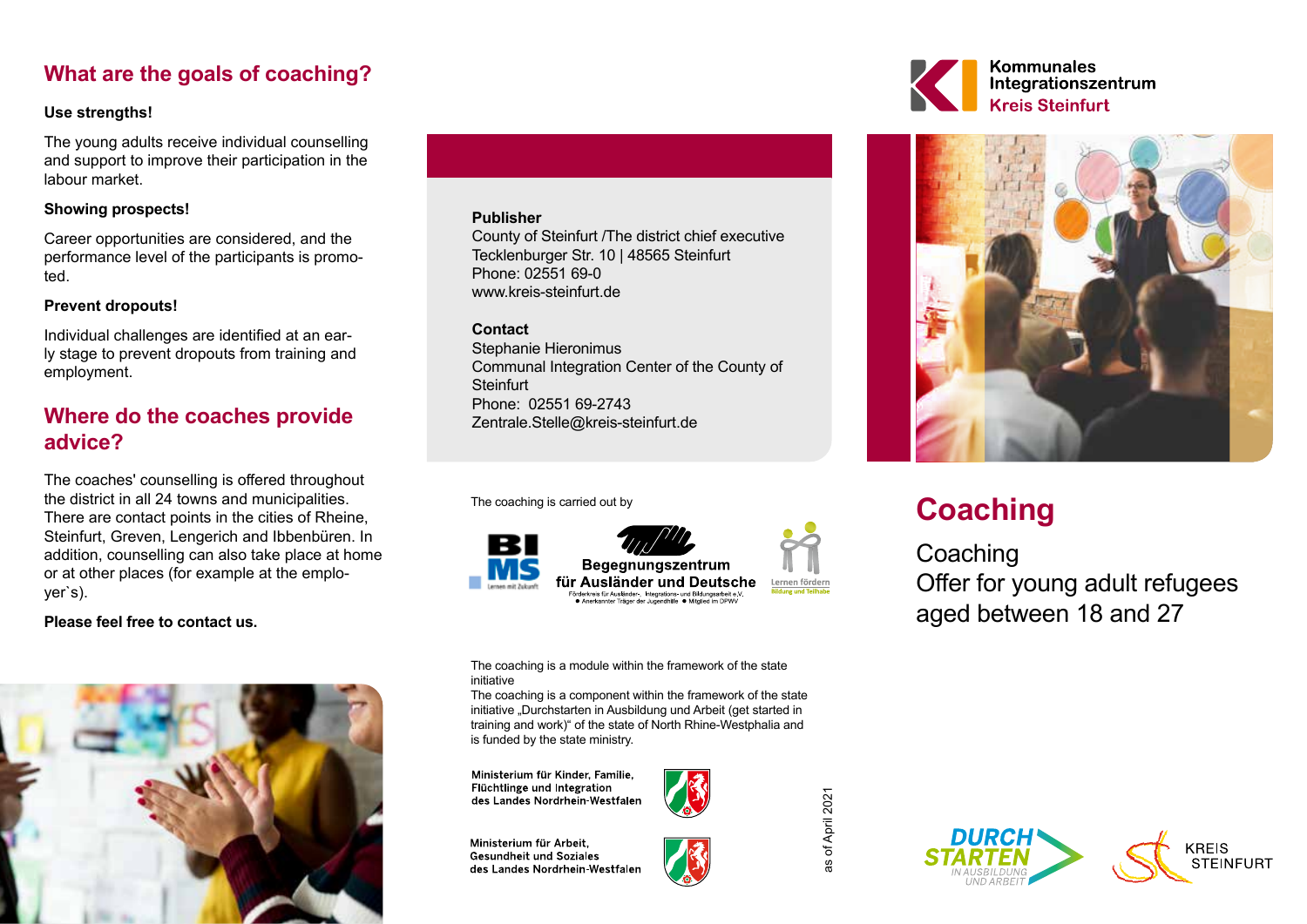# **What are the goals of coaching?**

### **Use strengths!**

The young adults receive individual counselling and support to improve their participation in the labour market.

### **Showing prospects!**

Career opportunities are considered, and the performance level of the participants is promoted.

### **Prevent dropouts!**

Individual challenges are identified at an early stage to prevent dropouts from training and employment.

# **Where do the coaches provide advice?**

The coaches' counselling is offered throughout the district in all 24 towns and municipalities. There are contact points in the cities of Rheine, Steinfurt, Greven, Lengerich and Ibbenbüren. In addition, counselling can also take place at home or at other places (for example at the employer`s).

### **Please feel free to contact us.**



#### **Publisher**

County of Steinfurt /The district chief executive Tecklenburger Str. 10 | 48565 Steinfurt Phone: 02551 69-0 www.kreis-steinfurt.de

### **Contact**

Stephanie Hieronimus Communal Integration Center of the County of **Steinfurt** Phone: 02551 69-2743 Zentrale.Stelle@kreis-steinfurt.de

The coaching is carried out by



The coaching is a module within the framework of the state initiative

The coaching is a component within the framework of the state initiative "Durchstarten in Ausbildung und Arbeit (get started in training and work)" of the state of North Rhine-Westphalia and is funded by the state ministry.

Ministerium für Kinder, Familie, Flüchtlinge und Integration des Landes Nordrhein-Westfalen

Ministerium für Arbeit. **Gesundheit und Soziales** des Landes Nordrhein-Westfalen



of April 2021 as of April 2021







# **Coaching**

**Coaching** Offer for young adult refugees aged between 18 and 27